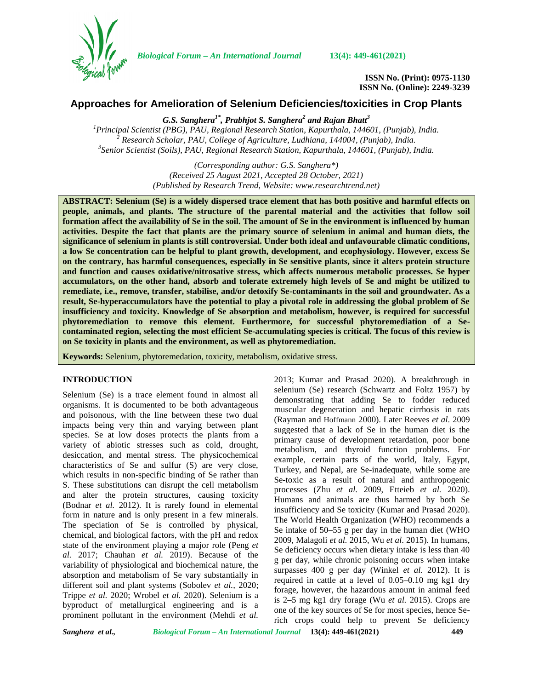

*Biological Forum – An International Journal* **13(4): 449-461(2021)**

**ISSN No. (Print): 0975-1130 ISSN No. (Online): 2249-3239**

# **Approaches for Amelioration of Selenium Deficiencies/toxicities in Crop Plants**

*G.S. Sanghera1\* , Prabhjot S. Sanghera<sup>2</sup> and Rajan Bhatt<sup>3</sup>*

<sup>1</sup> Principal Scientist (PBG), PAU, Regional Research Station, Kapurthala, 144601, (Punjab), India.<br><sup>2</sup> Research Scholar, PAU, College of Agriculture, Ludhiana, 144004, (Punjab), India.<br><sup>3</sup> Senior Scientist (Soils), PAU,

*(Corresponding author: G.S. Sanghera\*) (Received 25 August 2021, Accepted 28 October, 2021) (Published by Research Trend, Website: [www.researchtrend.net\)](www.researchtrend.net)*

**ABSTRACT: Selenium (Se) is a widely dispersed trace element that has both positive and harmful effects on people, animals, and plants. The structure of the parental material and the activities that follow soil formation affect the availability of Se in the soil. The amount of Se in the environment is influenced by human activities. Despite the fact that plants are the primary source of selenium in animal and human diets, the significance of selenium in plants is still controversial. Under both ideal and unfavourable climatic conditions, a low Se concentration can be helpful to plant growth, development, and ecophysiology. However, excess Se on the contrary, has harmful consequences, especially in Se sensitive plants, since it alters protein structure and function and causes oxidative/nitrosative stress, which affects numerous metabolic processes. Se hyper accumulators, on the other hand, absorb and tolerate extremely high levels of Se and might be utilized to remediate, i.e., remove, transfer, stabilise, and/or detoxify Se-contaminants in the soil and groundwater. As a result, Se-hyperaccumulators have the potential to play a pivotal role in addressing the global problem of Se insufficiency and toxicity. Knowledge of Se absorption and metabolism, however, is required for successful phytoremediation to remove this element. Furthermore, for successful phytoremediation of a Se contaminated region, selecting the most efficient Se-accumulating species is critical. The focus of this review is on Se toxicity in plants and the environment, as well as phytoremediation.**

**Keywords:** Selenium, phytoremedation, toxicity, metabolism, oxidative stress.

## **INTRODUCTION**

Selenium (Se) is a trace element found in almost all organisms. It is documented to be both advantageous and poisonous, with the line between these two dual impacts being very thin and varying between plant species. Se at low doses protects the plants from a variety of abiotic stresses such as cold, drought, desiccation, and mental stress. The physicochemical characteristics of Se and sulfur (S) are very close, which results in non-specific binding of Se rather than S. These substitutions can disrupt the cell metabolism and alter the protein structures, causing toxicity (Bodnar *et al.* 2012). It is rarely found in elemental form in nature and is only present in a few minerals. The speciation of Se is controlled by physical, chemical, and biological factors, with the pH and redox state of the environment playing a major role (Peng *et al.* 2017; Chauhan *et al.* 2019). Because of the variability of physiological and biochemical nature, the absorption and metabolism of Se vary substantially in different soil and plant systems (Sobolev *et al.,* 2020; Trippe *et al.* 2020; Wrobel *et al.* 2020). Selenium is a byproduct of metallurgical engineering and is a prominent pollutant in the environment (Mehdi *et al.*

2013; Kumar and Prasad 2020). A breakthrough in selenium (Se) research (Schwartz and Foltz 1957) by demonstrating that adding Se to fodder reduced muscular degeneration and hepatic cirrhosis in rats (Rayman and Hoffmann 2000). Later Reeves *et al*. 2009 suggested that a lack of Se in the human diet is the primary cause of development retardation, poor bone metabolism, and thyroid function problems. For example, certain parts of the world, Italy, Egypt, Turkey, and Nepal, are Se-inadequate, while some are Se-toxic as a result of natural and anthropogenic processes (Zhu *et al.* 2009, Etteieb *et al.* 2020). Humans and animals are thus harmed by both Se insufficiency and Se toxicity (Kumar and Prasad 2020). The World Health Organization (WHO) recommends a Se intake of 50–55 g per day in the human diet (WHO 2009, Malagoli *et al.* 2015, Wu *et al*. 2015). In humans, Se deficiency occurs when dietary intake is less than 40 g per day, while chronic poisoning occurs when intake surpasses 400 g per day (Winkel *et al.* 2012). It is required in cattle at a level of 0.05–0.10 mg kg1 dry forage, however, the hazardous amount in animal feed is 2–5 mg kg1 dry forage (Wu *et al.* 2015). Crops are one of the key sources of Se for most species, hence Serich crops could help to prevent Se deficiency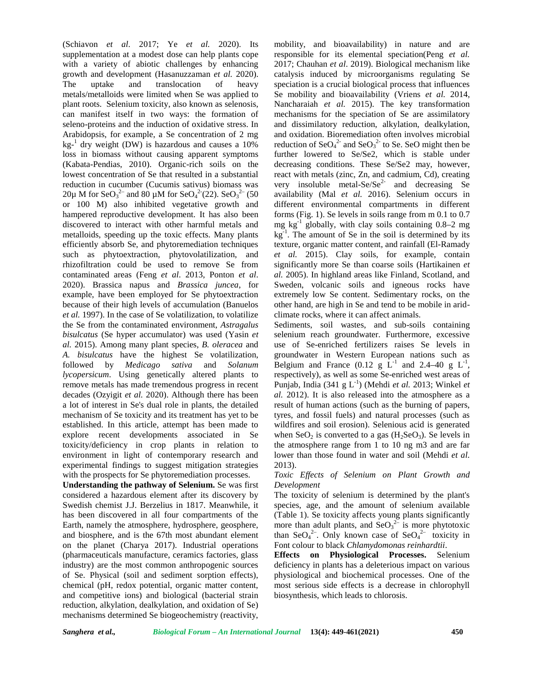(Schiavon *et al*. 2017; Ye *et al.* 2020). Its supplementation at a modest dose can help plants cope with a variety of abiotic challenges by enhancing growth and development (Hasanuzzaman *et al.* 2020). The uptake and translocation of heavy metals/metalloids were limited when Se was applied to plant roots. Selenium toxicity, also known as selenosis, can manifest itself in two ways: the formation of seleno-proteins and the induction of oxidative stress. In Arabidopsis, for example, a Se concentration of 2 mg  $kg<sup>-1</sup>$  dry weight (DW) is hazardous and causes a 10% reduction of loss in biomass without causing apparent symptoms (Kabata-Pendias, 2010). Organic-rich soils on the lowest concentration of Se that resulted in a substantial reduction in cucumber (Cucumis sativus) biomass was 20µ M for SeO<sub>3</sub><sup>2-</sup> and 80 µM for SeO<sub>4</sub><sup>2-</sup>(22). SeO<sub>3</sub><sup>2-</sup> (50 avail or 100 M) also inhibited vegetative growth and hampered reproductive development. It has also been discovered to interact with other harmful metals and metalloids, speeding up the toxic effects. Many plants efficiently absorb Se, and phytoremediation techniques such as phytoextraction, phytovolatilization, and rhizofiltration could be used to remove Se from contaminated areas (Feng *et al*. 2013, Ponton *et al*. 2020). Brassica napus and *Brassica juncea*, for example, have been employed for Se phytoextraction because of their high levels of accumulation (Banuelos *et al.* 1997). In the case of Se volatilization, to volatilize the Se from the contaminated environment, *Astragalus bisulcatus* (Se hyper accumulator) was used (Yasin *et al.* 2015). Among many plant species, *B. oleracea* and *A. bisulcatus* have the highest Se volatilization, followed by *Medicago sativa* and *Solanum lycopersicum*. Using genetically altered plants to remove metals has made tremendous progress in recent decades (Ozyigit *et al.* 2020). Although there has been a lot of interest in Se's dual role in plants, the detailed mechanism of Se toxicity and its treatment has yet to be established. In this article, attempt has been made to explore recent developments associated in Se toxicity/deficiency in crop plants in relation to environment in light of contemporary research and experimental findings to suggest mitigation strategies with the prospects for Se phytoremediation processes.

**Understanding the pathway of Selenium.** Se was first considered a hazardous element after its discovery by Swedish chemist J.J. Berzelius in 1817. Meanwhile, it has been discovered in all four compartments of the Earth, namely the atmosphere, hydrosphere, geosphere, and biosphere, and is the 67th most abundant element on the planet (Charya 2017). Industrial operations (pharmaceuticals manufacture, ceramics factories, glass industry) are the most common anthropogenic sources of Se. Physical (soil and sediment sorption effects), chemical (pH, redox potential, organic matter content, and competitive ions) and biological (bacterial strain reduction, alkylation, dealkylation, and oxidation of Se) mechanisms determined Se biogeochemistry (reactivity,

mobility, and bioavailability) in nature and are responsible for its elemental speciation(Peng *et al.* 2017; Chauhan *et al*. 2019). Biological mechanism like catalysis induced by microorganisms regulating Se speciation is a crucial biological process that influences Se mobility and bioavailability (Vriens *et al.* 2014, Nancharaiah *et al.* 2015). The key transformation mechanisms for the speciation of Se are assimilatory and dissimilatory reduction, alkylation, dealkylation, and oxidation. Bioremediation often involves microbial reduction of SeO<sub>4</sub><sup>2-</sup> and SeO<sub>3</sub><sup>2</sup> to Se. SeO might then be further lowered to Se/Se2, which is stable under decreasing conditions. These Se/Se2 may, however, react with metals (zinc, Zn, and cadmium, Cd), creating very insoluble metal- $\text{Se}/\text{Se}^{2}$  and decreasing Se availability (Mal *et al.* 2016). Selenium occurs in different environmental compartments in different forms (Fig. 1). Se levels in soils range from m 0.1 to 0.7 mg  $kg^{-1}$  globally, with clay soils containing 0.8–2 mg kg<sup>-1</sup>. The amount of Se in the soil is determined by its texture, organic matter content, and rainfall (El-Ramady *et al.* 2015). Clay soils, for example, contain significantly more Se than coarse soils (Hartikainen *et al.* 2005). In highland areas like Finland, Scotland, and Sweden, volcanic soils and igneous rocks have extremely low Se content. Sedimentary rocks, on the other hand, are high in Se and tend to be mobile in arid climate rocks, where it can affect animals.

Sediments, soil wastes, and sub-soils containing selenium reach groundwater. Furthermore, excessive use of Se-enriched fertilizers raises Se levels in groundwater in Western European nations such as Belgium and France (0.12 g  $\hat{L}^{-1}$  and 2.4–40 g  $L^{-1}$ , respectively), as well as some Se-enriched west areas of Punjab, India (341 g L-1) (Mehdi *et al.* 2013; Winkel *et al.* 2012). It is also released into the atmosphere as a result of human actions (such as the burning of papers, tyres, and fossil fuels) and natural processes (such as wildfires and soil erosion). Selenious acid is generated when  $SeO<sub>2</sub>$  is converted to a gas  $(H<sub>2</sub>SeO<sub>3</sub>)$ . Se levels in the atmosphere range from 1 to 10 ng m3 and are far lower than those found in water and soil (Mehdi *et al*. 2013).

## *Toxic Effects of Selenium on Plant Growth and Development*

The toxicity of selenium is determined by the plant's species, age, and the amount of selenium available (Table 1). Se toxicity affects young plants significantly more than adult plants, and  $\text{SeO}_3^{2-}$  is more phytotoxic than SeO<sub>4</sub><sup>2</sup>. Only known case of SeO<sub>4</sub><sup>2</sup> toxicity in Font colour to black *Chlamydomonas reinhardtii*.

**Effects on Physiological Processes.** Selenium deficiency in plants has a deleterious impact on various physiological and biochemical processes. One of the most serious side effects is a decrease in chlorophyll biosynthesis, which leads to chlorosis.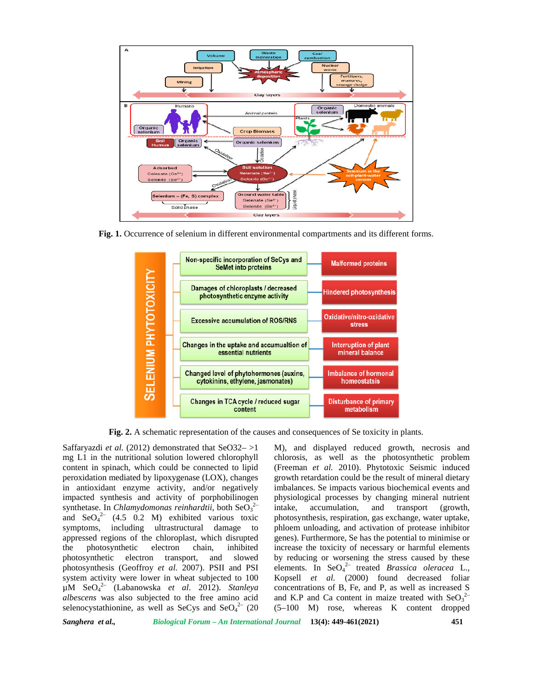

**Fig. 1.** Occurrence of selenium in different environmental compartments and its different forms.



**Fig. 2.** A schematic representation of the causes and consequences of Se toxicity in plants.

Saffaryazdi *et al.* (2012) demonstrated that SeO32– >1 mg L1 in the nutritional solution lowered chlorophyll content in spinach, which could be connected to lipid peroxidation mediated by lipoxygenase (LOX), changes in antioxidant enzyme activity, and/or negatively impacted synthesis and activity of porphobilinogen synthetase. In *Chlamydomonas reinhardtii*, both  $\text{SeO}_3^{2-}$  in and  $\text{SeO}_4^2$  (4.5 0.2 M) exhibited various toxic pho symptoms, including ultrastructural damage to appressed regions of the chloroplast, which disrupted the photosynthetic electron chain, inhibited photosynthetic electron transport, and slowed photosynthesis (Geoffroy *et al.* 2007). PSII and PSI system activity were lower in wheat subjected to 100 µM SeO<sup>4</sup> <sup>2</sup>– (Labanowska *et al*. 2012). *Stanleya albescens* was also subjected to the free amino acid selenocystathionine, as well as SeCys and  $\text{SeO}_4^2$  (20 (5–1)

M), and displayed reduced growth, necrosis and chlorosis, as well as the photosynthetic problem (Freeman *et al.* 2010). Phytotoxic Seismic induced growth retardation could be the result of mineral dietary imbalances. Se impacts various biochemical events and physiological processes by changing mineral nutrient intake, accumulation, and transport (growth, photosynthesis, respiration, gas exchange, water uptake, phloem unloading, and activation of protease inhibitor genes). Furthermore, Se has the potential to minimise or increase the toxicity of necessary or harmful elements by reducing or worsening the stress caused by these elements. In SeO<sub>4</sub><sup>2-</sup> treated *Brassica oleracea* L., Kopsell *et al.* (2000) found decreased foliar concentrations of B, Fe, and P, as well as increased S and K.P and Ca content in maize treated with  $\text{SeO}_3^2$ (5–100 M) rose, whereas K content dropped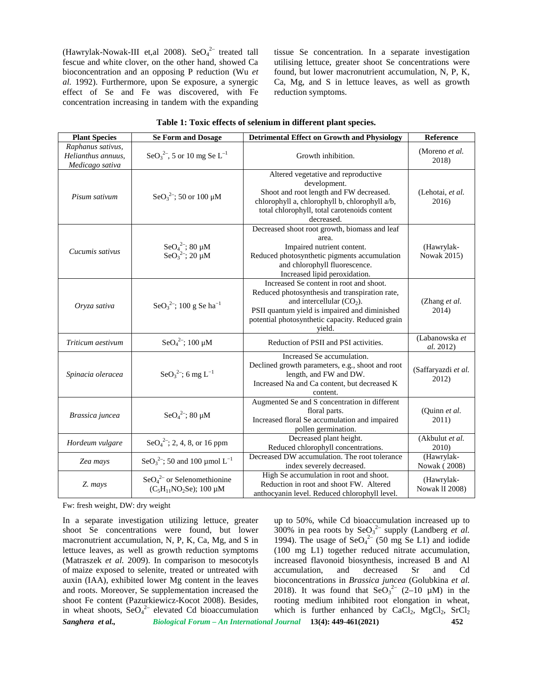(Hawrylak-Nowak-III et, al 2008).  $\text{SeO}_4^2$  treated tall t fescue and white clover, on the other hand, showed Ca bioconcentration and an opposing P reduction (Wu *et al.* 1992). Furthermore, upon Se exposure, a synergic effect of Se and Fe was discovered, with Fe concentration increasing in tandem with the expanding

tissue Se concentration. In a separate investigation utilising lettuce, greater shoot Se concentrations were found, but lower macronutrient accumulation, N, P, K, Ca, Mg, and S in lettuce leaves, as well as growth reduction symptoms.

| <b>Plant Species</b>                                       | <b>Se Form and Dosage</b>                                            | <b>Detrimental Effect on Growth and Physiology</b>                                                                                                                                                                                      | Reference                        |
|------------------------------------------------------------|----------------------------------------------------------------------|-----------------------------------------------------------------------------------------------------------------------------------------------------------------------------------------------------------------------------------------|----------------------------------|
| Raphanus sativus,<br>Helianthus annuus,<br>Medicago sativa | $\text{SeO}_3^2$ , 5 or 10 mg Se L <sup>-1</sup>                     | Growth inhibition.                                                                                                                                                                                                                      | (Moreno et al.<br>2018)          |
| Pisum sativum                                              | SeO <sub>3</sub> <sup>2-</sup> ; 50 or 100 $\mu$ M                   | Altered vegetative and reproductive<br>development.<br>Shoot and root length and FW decreased.<br>chlorophyll a, chlorophyll b, chlorophyll a/b,<br>total chlorophyll, total carotenoids content<br>decreased.                          | (Lehotai, et al.<br>2016)        |
| Cucumis sativus                                            | $SeO42–; 80 \mu MSeO32–; 20 \mu M$                                   | Decreased shoot root growth, biomass and leaf<br>area.<br>Impaired nutrient content.<br>Reduced photosynthetic pigments accumulation<br>and chlorophyll fluorescence.<br>Increased lipid peroxidation.                                  | (Hawrylak-<br><b>Nowak 2015)</b> |
| Oryza sativa                                               | SeO <sub>3</sub> <sup>2-</sup> ; 100 g Se ha <sup>-1</sup>           | Increased Se content in root and shoot.<br>Reduced photosynthesis and transpiration rate,<br>and intercellular $(CO2)$ .<br>PSII quantum yield is impaired and diminished<br>potential photosynthetic capacity. Reduced grain<br>vield. | (Zhang et al.<br>2014)           |
| Triticum aestivum                                          | $\text{SeO}_4^2$ ; 100 µM                                            | Reduction of PSII and PSI activities.                                                                                                                                                                                                   | (Labanowska et<br>al. 2012)      |
| Spinacia oleracea                                          | $\text{SeO}_3^2$ ; 6 mg L <sup>-1</sup>                              | Increased Se accumulation.<br>Declined growth parameters, e.g., shoot and root<br>length, and FW and DW.<br>Increased Na and Ca content, but decreased K<br>content.                                                                    | (Saffaryazdi et al.<br>2012)     |
| Brassica juncea                                            | $\text{SeO}_4^2$ ; 80 µM                                             | Augmented Se and S concentration in different<br>floral parts.<br>Increased floral Se accumulation and impaired<br>pollen germination.                                                                                                  | (Quinn et al.<br>2011)           |
| Hordeum vulgare                                            | $\text{SeO}_4^2$ ; 2, 4, 8, or 16 ppm                                | Decreased plant height.<br>Reduced chlorophyll concentrations.                                                                                                                                                                          | (Akbulut et al.<br>2010)         |
| Zea mays                                                   | SeO <sub>3</sub> <sup>2-</sup> ; 50 and 100 µmol L <sup>-1</sup>     | Decreased DW accumulation. The root tolerance<br>index severely decreased.                                                                                                                                                              | (Hawrylak-<br>Nowak (2008)       |
| Z. mays                                                    | $\text{SeO}_4^2$ or Selenomethionine<br>$(C_5H_{11}NO_2Se)$ ; 100 µM | High Se accumulation in root and shoot.<br>Reduction in root and shoot FW. Altered<br>anthocyanin level. Reduced chlorophyll level.                                                                                                     | (Hawrylak-<br>Nowak II 2008)     |

**Table 1: Toxic effects of selenium in different plant species.**

Fw: fresh weight, DW: dry weight

In a separate investigation utilizing lettuce, greater shoot Se concentrations were found, but lower macronutrient accumulation, N, P, K, Ca, Mg, and S in lettuce leaves, as well as growth reduction symptoms (Matraszek *et al.* 2009). In comparison to mesocotyls of maize exposed to selenite, treated or untreated with auxin (IAA), exhibited lower Mg content in the leaves and roots. Moreover, Se supplementation increased the shoot Fe content (Pazurkiewicz-Kocot 2008). Besides, in wheat shoots,  $\text{SeO}_4^2$  elevated Cd bioaccumulation which

up to 50%, while Cd bioaccumulation increased up to  $300\%$  in pea roots by  $\text{SeO}_3^{2-}$  supply (Landberg *et al.* 1994). The usage of  $\text{SeO}_4^{2-}$  (50 mg Se L1) and iodide (100 mg L1) together reduced nitrate accumulation, increased flavonoid biosynthesis, increased B and Al accumulation, and decreased Sr and Cd bioconcentrations in *Brassica juncea* (Golubkina *et al.* 2018). It was found that  $\text{SeO}_3^{2-}$  (2–10 µM) in the rooting medium inhibited root elongation in wheat, which is further enhanced by  $CaCl<sub>2</sub>$ ,  $MgCl<sub>2</sub>$ ,  $SrCl<sub>2</sub>$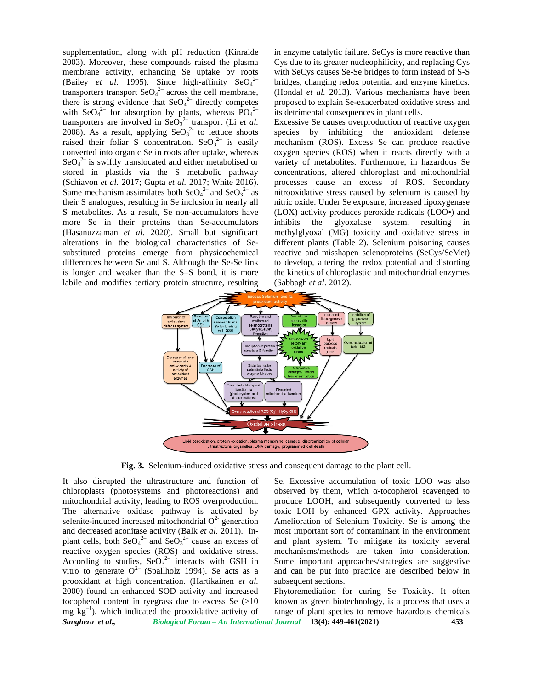supplementation, along with pH reduction (Kinraide 2003). Moreover, these compounds raised the plasma membrane activity, enhancing Se uptake by roots (Bailey *et al.* 1995). Since high-affinity  $\text{SeO}_4^2$ transporters transport  $\text{SeO}_4^2$  across the cell membrane, there is strong evidence that  $\text{SeO}_4^{2-}$  directly competes pro with SeO<sub>4</sub><sup>2-</sup> for absorption by plants, whereas  $\overline{PO_4}^{2-}$  it transporters are involved in  $\text{SeO}_3^2$  transport (Li *et al.* 2008). As a result, applying  $\text{SeO}_3^{2}$  to lettuce shoots spo raised their foliar S concentration.  $\text{SeO}_3^{2-}$  is easily mech converted into organic Se in roots after uptake, whereas  $\text{SeO}_4^{2-}$  is swiftly translocated and either metabolised or values stored in plastids via the S metabolic pathway (Schiavon *et al.* 2017; Gupta *et al.* 2017; White 2016). Same mechanism assimilates both  $\text{SeO}_4^{2-}$  and  $\text{SeO}_3^{2-}$  as nit their S analogues, resulting in Se inclusion in nearly all S metabolites. As a result, Se non-accumulators have more Se in their proteins than Se-accumulators inhibits (Hasanuzzaman *et al.* 2020). Small but significant alterations in the biological characteristics of Se substituted proteins emerge from physicochemical differences between Se and S. Although the Se-Se link is longer and weaker than the S–S bond, it is more labile and modifies tertiary protein structure, resulting

 $2^2$  bridges, changing redox potential and enzyme kinetics. in enzyme catalytic failure. SeCys is more reactive than Cys due to its greater nucleophilicity, and replacing Cys with SeCys causes Se-Se bridges to form instead of S-S (Hondal *et al.* 2013). Various mechanisms have been proposed to explain Se-exacerbated oxidative stress and its detrimental consequences in plant cells.

Excessive Se causes overproduction of reactive oxygen species by inhibiting the antioxidant defense mechanism (ROS). Excess Se can produce reactive oxygen species (ROS) when it reacts directly with a variety of metabolites. Furthermore, in hazardous Se concentrations, altered chloroplast and mitochondrial processes cause an excess of ROS. Secondary nitrooxidative stress caused by selenium is caused by nitric oxide. Under Se exposure, increased lipoxygenase (LOX) activity produces peroxide radicals (LOO•) and the glyoxalase system, resulting in methylglyoxal (MG) toxicity and oxidative stress in different plants (Table 2). Selenium poisoning causes reactive and misshapen selenoproteins (SeCys/SeMet) to develop, altering the redox potential and distorting the kinetics of chloroplastic and mitochondrial enzymes (Sabbagh *et al*. 2012).



**Fig. 3.** Selenium-induced oxidative stress and consequent damage to the plant cell.

*Sanghera et al., Biological Forum – An International Journal* **13(4): 449-461(2021) 453** It also disrupted the ultrastructure and function of chloroplasts (photosystems and photoreactions) and mitochondrial activity, leading to ROS overproduction. The alternative oxidase pathway is activated by selenite-induced increased mitochondrial  $O<sup>2</sup>$  generation and decreased aconitase activity (Balk *et al.* 2011). In plant cells, both  $\text{SeO}_4^{2-}$  and  $\text{SeO}_3^{2-}$  cause an excess of and reactive oxygen species (ROS) and oxidative stress. According to studies,  $\text{SeO}_3^2$  interacts with GSH in Som vitro to generate  $O^{2-}$  (Spallholz 1994). Se acts as a prooxidant at high concentration. (Hartikainen *et al.* 2000) found an enhanced SOD activity and increased tocopherol content in ryegrass due to excess Se (>10 mg  $kg^{-1}$ ), which indicated the prooxidative activity of

Se. Excessive accumulation of toxic LOO was also observed by them, which -tocopherol scavenged to produce LOOH, and subsequently converted to less toxic LOH by enhanced GPX activity. Approaches Amelioration of Selenium Toxicity. Se is among the most important sort of contaminant in the environment and plant system. To mitigate its toxicity several mechanisms/methods are taken into consideration. Some important approaches/strategies are suggestive and can be put into practice are described below in subsequent sections.

Phytoremediation for curing Se Toxicity. It often known as green biotechnology, is a process that uses a range of plant species to remove hazardous chemicals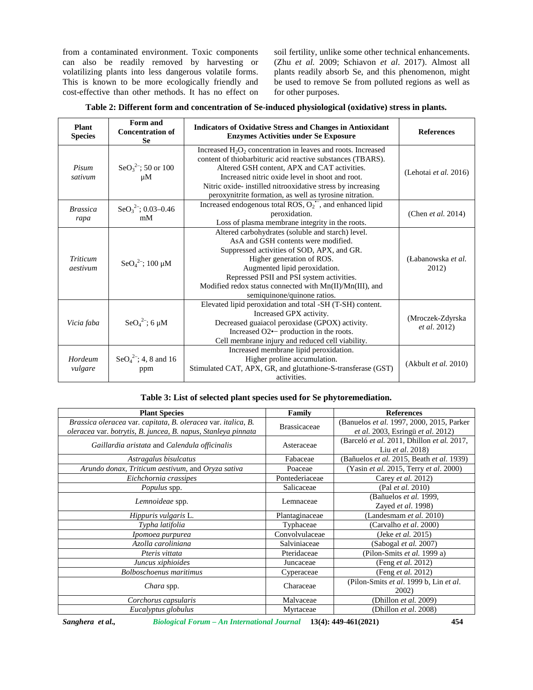from a contaminated environment. Toxic components can also be readily removed by harvesting or volatilizing plants into less dangerous volatile forms. This is known to be more ecologically friendly and cost-effective than other methods. It has no effect on soil fertility, unlike some other technical enhancements. (Zhu *et al.* 2009; Schiavon *et al*. 2017). Almost all plants readily absorb Se, and this phenomenon, might be used to remove Se from polluted regions as well as for other purposes.

| Table 2: Different form and concentration of Se-induced physiological (oxidative) stress in plants. |  |
|-----------------------------------------------------------------------------------------------------|--|
|                                                                                                     |  |

| Plant<br><b>Species</b>     | Form and<br><b>Concentration of</b><br><b>Se</b> | <b>Indicators of Oxidative Stress and Changes in Antioxidant</b><br><b>Enzymes Activities under Se Exposure</b>                                                                                                                                                                                                                                                                  | <b>References</b>                       |
|-----------------------------|--------------------------------------------------|----------------------------------------------------------------------------------------------------------------------------------------------------------------------------------------------------------------------------------------------------------------------------------------------------------------------------------------------------------------------------------|-----------------------------------------|
| Pisum<br>sativum            | $\text{SeO}_3^2$ ; 50 or 100<br>$\mu$ M          | Increased H <sub>2</sub> O <sub>2</sub> concentration in leaves and roots. Increased<br>content of thiobarbituric acid reactive substances (TBARS).<br>Altered GSH content, APX and CAT activities.<br>Increased nitric oxide level in shoot and root.<br>Nitric oxide- instilled nitrooxidative stress by increasing<br>peroxynitrite formation, as well as tyrosine nitration. | (Lehotai et al. 2016)                   |
| <b>Brassica</b><br>rapa     | $\text{SeO}_3^2$ ; 0.03–0.46<br>mM               | Increased endogenous total ROS, $O_2^{\text{-}}$ , and enhanced lipid<br>peroxidation.<br>Loss of plasma membrane integrity in the roots.                                                                                                                                                                                                                                        | (Chen <i>et al.</i> 2014)               |
| <b>Triticum</b><br>aestivum | $\text{SeO}_4^2$ ; 100 µM                        | Altered carbohydrates (soluble and starch) level.<br>AsA and GSH contents were modified.<br>Suppressed activities of SOD, APX, and GR.<br>Higher generation of ROS.<br>Augmented lipid peroxidation.<br>Repressed PSII and PSI system activities.<br>Modified redox status connected with Mn(II)/Mn(III), and<br>semiquinone/quinone ratios.                                     | (Łabanowska et al.<br>2012)             |
| Vicia faba                  | $\text{SeO}_4^2$ ; 6 µM                          | Elevated lipid peroxidation and total -SH (T-SH) content.<br>Increased GPX activity.<br>Decreased guaiacol peroxidase (GPOX) activity.<br>Increased O2 <sup>•</sup> - production in the roots.<br>Cell membrane injury and reduced cell viability.                                                                                                                               | (Mroczek-Zdyrska<br><i>et al.</i> 2012) |
| Hordeum<br>vulgare          | $\text{SeO}_4^{2-}$ ; 4, 8 and 16<br>ppm         | Increased membrane lipid peroxidation.<br>Higher proline accumulation.<br>Stimulated CAT, APX, GR, and glutathione-S-transferase (GST)<br>activities.                                                                                                                                                                                                                            | (Akbult et al. 2010)                    |

## **Table 3: List of selected plant species used for Se phytoremediation.**

| <b>Plant Species</b>                                                                                                           | Family              | <b>References</b>                                                                             |
|--------------------------------------------------------------------------------------------------------------------------------|---------------------|-----------------------------------------------------------------------------------------------|
| Brassica oleracea var. capitata, B. oleracea var. italica, B.<br>oleracea var. botrytis, B. juncea, B. napus, Stanleya pinnata | <b>Brassicaceae</b> | (Banuelos et al. 1997, 2000, 2015, Parker)<br><i>et al.</i> 2003, Esringü <i>et al.</i> 2012) |
| Gaillardia aristata and Calendula officinalis                                                                                  | Asteraceae          | (Barceló et al. 2011, Dhillon et al. 2017,<br>Liu et al. 2018)                                |
| Astragalus bisulcatus                                                                                                          | Fabaceae            | (Bañuelos <i>et al.</i> 2015, Beath <i>et al.</i> 1939)                                       |
| Arundo donax, Triticum aestivum, and Oryza sativa                                                                              | Poaceae             | (Yasin <i>et al.</i> 2015, Terry <i>et al.</i> 2000)                                          |
| Eichchornia crassipes                                                                                                          | Pontederiaceae      | Carey et al. 2012)                                                                            |
| Populus spp.                                                                                                                   | Salicaceae          | (Pal <i>et al.</i> 2010)                                                                      |
| Lemnoideae spp.                                                                                                                | Lemnaceae           | (Bañuelos et al. 1999,<br>Zayed et al. 1998)                                                  |
| Hippuris vulgaris L.                                                                                                           | Plantaginaceae      | (Landesmam et al. 2010)                                                                       |
| Typha latifolia                                                                                                                | Typhaceae           | (Carvalho et al. 2000)                                                                        |
| Ipomoea purpurea                                                                                                               | Convolvulaceae      | (Jeke <i>et al.</i> 2015)                                                                     |
| Azolla caroliniana                                                                                                             | Salviniaceae        | (Sabogal et al. 2007)                                                                         |
| Pteris vittata                                                                                                                 | Pteridaceae         | (Pilon-Smits et al. 1999 a)                                                                   |
| Juncus xiphioides                                                                                                              | Juncaceae           | (Feng et al. 2012)                                                                            |
| <b>Bolboschoenus</b> maritimus                                                                                                 | Cyperaceae          | (Feng et al. 2012)                                                                            |
| <i>Chara</i> spp.                                                                                                              | Characeae           | (Pilon-Smits et al. 1999 b, Lin et al.<br>2002)                                               |
| Corchorus capsularis                                                                                                           | Malvaceae           | (Dhillon et al. 2009)                                                                         |
| Eucalyptus globulus                                                                                                            | Myrtaceae           | (Dhillon et al. 2008)                                                                         |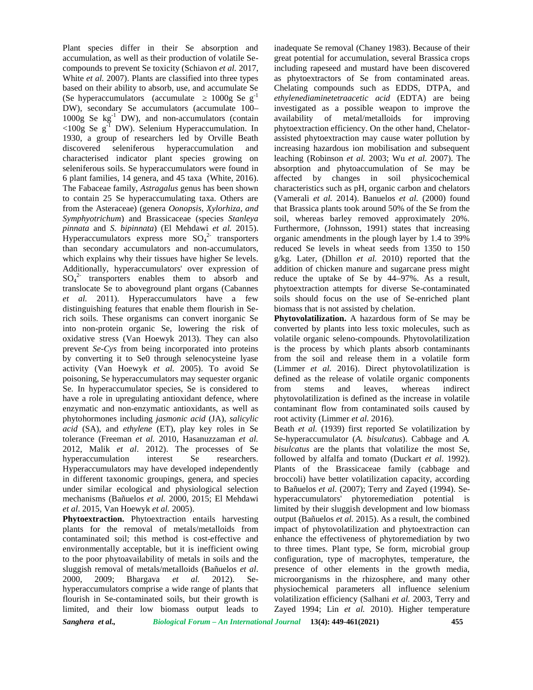Plant species differ in their Se absorption and accumulation, as well as their production of volatile Se compounds to prevent Se toxicity (Schiavon *et al.* 2017, White *et al.* 2007). Plants are classified into three types based on their ability to absorb, use, and accumulate Se (Se hyperaccumulators (accumulate  $1000g$  Se  $g^{-1}$ DW), secondary Se accumulators (accumulate 100–  $1000g$  Se  $kg^{-1}$  DW), and non-accumulators (contain  $\langle 100g \rangle$  Se  $g^{-1}$  DW). Selenium Hyperaccumulation. In 1930, a group of researchers led by Orville Beath discovered seleniferous hyperaccumulation and characterised indicator plant species growing on seleniferous soils. Se hyperaccumulators were found in 6 plant families, 14 genera, and 45 taxa (White, 2016). The Fabaceae family, *Astragalus* genus has been shown to contain 25 Se hyperaccumulating taxa. Others are from the Asteraceae) (genera *Oonopsis, Xylorhiza, and Symphyotrichum*) and Brassicaceae (species *Stanleya pinnata* and *S. bipinnata*) (El Mehdawi *et al.* 2015). Hyperaccumulators express more  ${SO_4}^{2-}$  transporters org than secondary accumulators and non-accumulators, which explains why their tissues have higher Se levels. Additionally, hyperaccumulators' over expression of  $SO_4^2$  transporters enables them to absorb and redu translocate Se to aboveground plant organs (Cabannes *et al.* 2011). Hyperaccumulators have a few distinguishing features that enable them flourish in Serich soils. These organisms can convert inorganic Se into non-protein organic Se, lowering the risk of oxidative stress (Van Hoewyk 2013). They can also prevent *Se-Cys* from being incorporated into proteins by converting it to Se0 through selenocysteine lyase activity (Van Hoewyk *et al.* 2005). To avoid Se poisoning, Se hyperaccumulators may sequester organic Se. In hyperaccumulator species, Se is considered to have a role in upregulating antioxidant defence, where enzymatic and non-enzymatic antioxidants, as well as phytohormones including *jasmonic acid* (JA), *salicylic acid* (SA), and *ethylene* (ET), play key roles in Se tolerance (Freeman *et al.* 2010, Hasanuzzaman *et al.* 2012, Malik *et al*. 2012). The processes of Se hyperaccumulation interest Se researchers. Hyperaccumulators may have developed independently in different taxonomic groupings, genera, and species under similar ecological and physiological selection mechanisms (Bañuelos *et al.* 2000, 2015; El Mehdawi *et al*. 2015, Van Hoewyk *et al.* 2005).

**Phytoextraction.** Phytoextraction entails harvesting plants for the removal of metals/metalloids from contaminated soil; this method is cost-effective and environmentally acceptable, but it is inefficient owing to the poor phytoavailability of metals in soils and the sluggish removal of metals/metalloids (Bañuelos *et al*. 2000, 2009; Bhargava *et al.* 2012). Se hyperaccumulators comprise a wide range of plants that flourish in Se-contaminated soils, but their growth is limited, and their low biomass output leads to

-1 *ethylenediaminetetraacetic acid* (EDTA) are being inadequate Se removal (Chaney 1983). Because of their great potential for accumulation, several Brassica crops including rapeseed and mustard have been discovered as phytoextractors of Se from contaminated areas. Chelating compounds such as EDDS, DTPA, and investigated as a possible weapon to improve the availability of metal/metalloids for improving phytoextraction efficiency. On the other hand, Chelator assisted phytoextraction may cause water pollution by increasing hazardous ion mobilisation and subsequent leaching (Robinson *et al.* 2003; Wu *et al.* 2007). The absorption and phytoaccumulation of Se may be affected by changes in soil physicochemical characteristics such as pH, organic carbon and chelators (Vamerali *et al.* 2014). Banuelos *et al.* (2000) found that Brassica plants took around 50% of the Se from the soil, whereas barley removed approximately 20%. Furthermore, (Johnsson, 1991) states that increasing organic amendments in the plough layer by 1.4 to 39% reduced Se levels in wheat seeds from 1350 to 150 g/kg. Later, (Dhillon *et al.* 2010) reported that the addition of chicken manure and sugarcane press might reduce the uptake of Se by 44–97%. As a result, phytoextraction attempts for diverse Se-contaminated soils should focus on the use of Se-enriched plant biomass that is not assisted by chelation.

**Phytovolatilization.** A hazardous form of Se may be converted by plants into less toxic molecules, such as volatile organic seleno-compounds. Phytovolatilization is the process by which plants absorb contaminants from the soil and release them in a volatile form (Limmer *et al.* 2016). Direct phytovolatilization is defined as the release of volatile organic components stems and leaves, whereas indirect phytovolatilization is defined as the increase in volatile contaminant flow from contaminated soils caused by root activity (Limmer *et al.* 2016).

Beath *et al.* (1939) first reported Se volatilization by Se-hyperaccumulator (*A. bisulcatus*). Cabbage and *A. bisulcatus* are the plants that volatilize the most Se, followed by alfalfa and tomato (Duckart *et al*. 1992). Plants of the Brassicaceae family (cabbage and broccoli) have better volatilization capacity, according to Bañuelos *et al*. (2007); Terry and Zayed (1994). Se hyperaccumulators' phytoremediation potential is limited by their sluggish development and low biomass output (Bañuelos *et al.* 2015). As a result, the combined impact of phytovolatilization and phytoextraction can enhance the effectiveness of phytoremediation by two to three times. Plant type, Se form, microbial group configuration, type of macrophytes, temperature, the presence of other elements in the growth media, microorganisms in the rhizosphere, and many other physiochemical parameters all influence selenium volatilization efficiency (Salhani *et al.* 2003, Terry and Zayed 1994; Lin *et al.* 2010). Higher temperature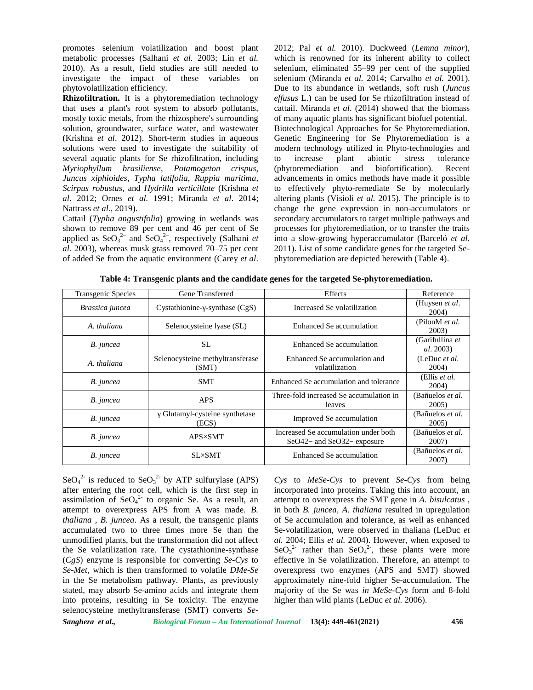promotes selenium volatilization and boost plant metabolic processes (Salhani *et al.* 2003; Lin *et al.* 2010). As a result, field studies are still needed to investigate the impact of these variables on phytovolatilization efficiency.

**Rhizofiltration.** It is a phytoremediation technology that uses a plant's root system to absorb pollutants, mostly toxic metals, from the rhizosphere's surrounding solution, groundwater, surface water, and wastewater (Krishna *et al*. 2012). Short-term studies in aqueous solutions were used to investigate the suitability of several aquatic plants for Se rhizofiltration, including *Myriophyllum brasiliense*, *Potamogeton crispus*, *Juncus xiphioides*, *Typha latifolia*, *Ruppia maritima*, *Scirpus robustus*, and *Hydrilla verticillate* (Krishna *et al*. 2012; Ornes *et al.* 1991; Miranda *et al*. 2014; Nattrass *et al.,* 2019).

Cattail (*Typha angustifolia*) growing in wetlands was shown to remove 89 per cent and 46 per cent of Se applied as  $\text{SeO}_3^{2-}$  and  $\text{SeO}_4^{2-}$ , respectively (Salhani *et* i *al.* 2003), whereas musk grass removed 70–75 per cent of added Se from the aquatic environment (Carey *et al*.

2012; Pal *et al.* 2010). Duckweed (*Lemna minor*), which is renowned for its inherent ability to collect selenium, eliminated 55–99 per cent of the supplied selenium (Miranda *et al.* 2014; Carvalho *et al.* 2001). Due to its abundance in wetlands, soft rush (*Juncus effusus* L.) can be used for Se rhizofiltration instead of cattail. Miranda *et al*. (2014) showed that the biomass of many aquatic plants has significant biofuel potential. Biotechnological Approaches for Se Phytoremediation. Genetic Engineering for Se Phytoremediation is a modern technology utilized in Phyto-technologies and increase plant abiotic stress tolerance (phytoremediation and biofortification). Recent advancements in omics methods have made it possible to effectively phyto-remediate Se by molecularly altering plants (Visioli *et al.* 2015). The principle is to change the gene expression in non-accumulators or secondary accumulators to target multiple pathways and processes for phytoremediation, or to transfer the traits into a slow-growing hyperaccumulator (Barceló *et al.* 2011). List of some candidate genes for the targeted Se phytoremediation are depicted herewith (Table 4).

| <b>Transgenic Species</b> | Gene Transferred                          | Effects                                                            | Reference                           |
|---------------------------|-------------------------------------------|--------------------------------------------------------------------|-------------------------------------|
| Brassica juncea           | Cystathionine-synthase $(CgS)$            | Increased Se volatilization                                        | (Huysen <i>et al.</i><br>2004)      |
| A. thaliana               | Selenocysteine lyase (SL)                 | Enhanced Se accumulation                                           | (PilonM et al.)<br>2003)            |
| B. juncea                 | <b>SL</b>                                 | Enhanced Se accumulation                                           | (Garifullina et<br><i>al.</i> 2003) |
| A. thaliana               | Selenocysteine methyltransferase<br>(SMT) | Enhanced Se accumulation and<br>volatilization                     | (LeDuc et al.<br>2004)              |
| B. juncea                 | <b>SMT</b>                                | Enhanced Se accumulation and tolerance                             | (Ellis et al.<br>2004)              |
| B. juncea                 | <b>APS</b>                                | Three-fold increased Se accumulation in<br>leaves                  | (Bañuelos et al.<br>2005)           |
| B. juncea                 | Glutamyl-cysteine synthetase<br>(ECS)     | Improved Se accumulation                                           | (Bañuelos et al.<br>2005)           |
| B. juncea                 | $APS \times SMT$                          | Increased Se accumulation under both<br>SeO42– and SeO32– exposure | (Bañuelos et al.<br>2007)           |
| B. juncea                 | $SL \times SMT$                           | Enhanced Se accumulation                                           | (Bañuelos et al.<br>2007)           |

**Table 4: Transgenic plants and the candidate genes for the targeted Se-phytoremediation.**

SeO<sub>4</sub><sup>2</sup> is reduced to SeO<sub>3</sub><sup>2</sup> by ATP sulfurylase (APS)  $C$ after entering the root cell, which is the first step in assimilation of  $\text{SeO}_4^{2}$  to organic Se. As a result, an atten attempt to overexpress APS from A was made. *B. thaliana , B.juncea*. As a result, the transgenic plants accumulated two to three times more Se than the unmodified plants, but the transformation did not affect the Se volatilization rate. The cystathionine-synthase (*CgS*) enzyme is responsible for converting *Se-Cys* to *Se-Met*, which is then transformed to volatile *DMe-Se* in the Se metabolism pathway. Plants, as previously stated, may absorb Se-amino acids and integrate them into proteins, resulting in Se toxicity. The enzyme selenocysteine methyltransferase (SMT) converts *Se-*

*Cys* to *MeSe-Cys* to prevent *Se-Cys* from being incorporated into proteins. Taking this into account, an attempt to overexpress the SMT gene in *A. bisulcatus ,* in both *B. juncea, A. thaliana* resulted in upregulation of Se accumulation and tolerance, as well as enhanced Se-volatilization, were observed in thaliana (LeDuc *et al.* 2004; Ellis *et al.* 2004). However, when exposed to  $\text{SeO}_3^{2}$  rather than  $\text{SeO}_4^{2}$ , these plants were more effective in Se volatilization. Therefore, an attempt to overexpress two enzymes (APS and SMT) showed approximately nine-fold higher Se-accumulation. The majority of the Se was *in MeSe-Cys* form and 8-fold higher than wild plants (LeDuc *et al.* 2006).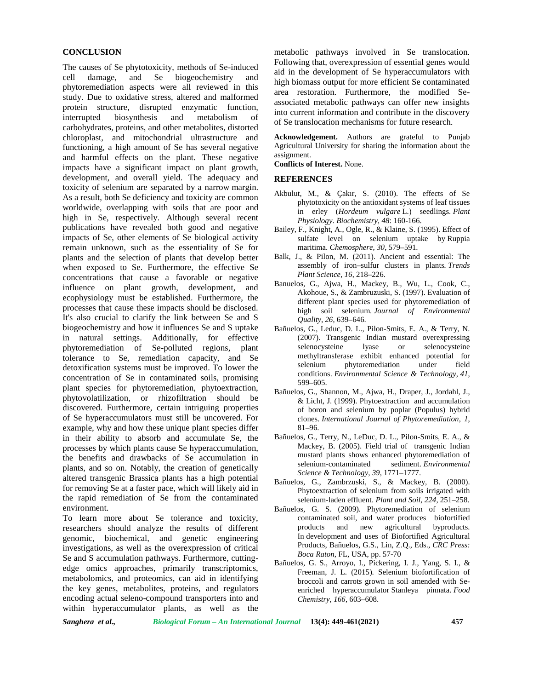## **CONCLUSION**

The causes of Se phytotoxicity, methods of Se-induced cell damage, and Se biogeochemistry and phytoremediation aspects were all reviewed in this study. Due to oxidative stress, altered and malformed protein structure, disrupted enzymatic function, interrupted biosynthesis and metabolism of carbohydrates, proteins, and other metabolites, distorted chloroplast, and mitochondrial ultrastructure and functioning, a high amount of Se has several negative and harmful effects on the plant. These negative impacts have a significant impact on plant growth, development, and overall yield. The adequacy and toxicity of selenium are separated by a narrow margin. As a result, both Se deficiency and toxicity are common worldwide, overlapping with soils that are poor and high in Se, respectively. Although several recent publications have revealed both good and negative impacts of Se, other elements of Se biological activity remain unknown, such as the essentiality of Se for plants and the selection of plants that develop better when exposed to Se. Furthermore, the effective Se concentrations that cause a favorable or negative influence on plant growth, development, and ecophysiology must be established. Furthermore, the processes that cause these impacts should be disclosed. It's also crucial to clarify the link between Se and S biogeochemistry and how it influences Se and S uptake in natural settings. Additionally, for effective phytoremediation of Se-polluted regions, plant tolerance to Se, remediation capacity, and Se detoxification systems must be improved. To lower the concentration of Se in contaminated soils, promising plant species for phytoremediation, phytoextraction, phytovolatilization, or rhizofiltration should be discovered. Furthermore, certain intriguing properties of Se hyperaccumulators must still be uncovered. For example, why and how these unique plant species differ in their ability to absorb and accumulate Se, the processes by which plants cause Se hyperaccumulation, the benefits and drawbacks of Se accumulation in plants, and so on. Notably, the creation of genetically altered transgenic Brassica plants has a high potential for removing Se at a faster pace, which will likely aid in the rapid remediation of Se from the contaminated environment.

To learn more about Se tolerance and toxicity, researchers should analyze the results of different genomic, biochemical, and genetic engineering investigations, as well as the overexpression of critical Se and S accumulation pathways. Furthermore, cutting edge omics approaches, primarily transcriptomics, metabolomics, and proteomics, can aid in identifying the key genes, metabolites, proteins, and regulators encoding actual seleno-compound transporters into and within hyperaccumulator plants, as well as the

metabolic pathways involved in Se translocation. Following that, overexpression of essential genes would aid in the development of Se hyperaccumulators with high biomass output for more efficient Se contaminated area restoration. Furthermore, the modified Se associated metabolic pathways can offer new insights into current information and contribute in the discovery of Se translocation mechanisms for future research.

**Acknowledgement.** Authors are grateful to Punjab Agricultural University for sharing the information about the assignment.

**Conflicts of Interest.** None.

## **REFERENCES**

- Akbulut, M., & Çakır, S. (2010). The effects of Se phytotoxicity on the antioxidant systems of leaf tissues in erley (*Hordeum vulgare* L.) seedlings. *Plant Physiology*. *Biochemistry*, *48*: 160-166.
- Bailey, F., Knight, A., Ogle, R., & Klaine, S. (1995). Effect of sulfate level on selenium uptake by Ruppia maritima. *Chemosphere*, *30*, 579–591.
- Balk, J., & Pilon, M. (2011). Ancient and essential: The assembly of iron–sulfur clusters in plants*. Trends Plant Science*, *16*, 218–226.
- Banuelos, G., Ajwa, H., Mackey, B., Wu, L., Cook, C., Akohoue, S., & Zambruzuski, S. (1997). Evaluation of different plant species used for phytoremediation of high soil selenium. *Journal of Environmental Quality*, *26*, 639–646.
- Bañuelos, G., Leduc, D. L., Pilon-Smits, E. A., & Terry, N. (2007). Transgenic Indian mustard overexpressing selenocysteine lyase or selenocysteine methyltransferase exhibit enhanced potential for<br>selenium phytoremediation under field selenium phytoremediation under field conditions. *Environmental Science & Technology*, *41*, 599–605.
- Bañuelos, G., Shannon, M., Ajwa, H., Draper, J., Jordahl, J., & Licht, J. (1999). Phytoextraction and accumulation of boron and selenium by poplar (Populus) hybrid clones. *International Journal of Phytoremediation*, *1*, 81–96.
- Bañuelos, G., Terry, N., LeDuc, D. L., Pilon-Smits, E. A., & Mackey, B. (2005). Field trial of transgenic Indian mustard plants shows enhanced phytoremediation of selenium-contaminated sediment. *Environmental Science & Technology*, *39*, 1771–1777.
- Bañuelos, G., Zambrzuski, S., & Mackey, B. (2000). Phytoextraction of selenium from soils irrigated with selenium-laden effluent. *Plant and Soil*, *224*, 251–258.
- Bañuelos, G. S. (2009). Phytoremediation of selenium contaminated soil, and water produces biofortified products and new agricultural byproducts. In development and uses of Biofortified Agricultural Products, Bañuelos, G.S., Lin, Z.Q., Eds., *CRC Press: Boca Raton*, FL, USA, pp. 57-70
- Bañuelos, G. S., Arroyo, I., Pickering, I. J., Yang, S. I., & Freeman, J. L. (2015). Selenium biofortification of broccoli and carrots grown in soil amended with Se enriched hyperaccumulator Stanleya pinnata. *Food Chemistry*, *166*, 603–608.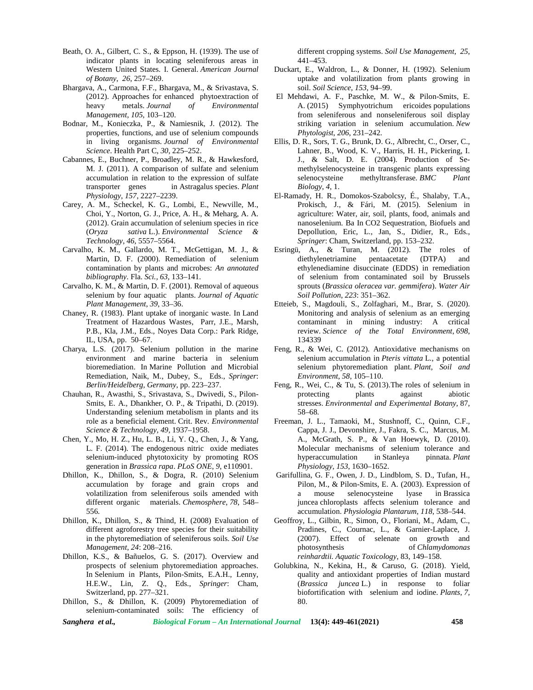- Beath, O. A., Gilbert, C. S., & Eppson, H. (1939). The use of indicator plants in locating seleniferous areas in Western United States. I. General. *American Journal of Botany*, *26*, 257–269.
- Bhargava, A., Carmona, F.F., Bhargava, M., & Srivastava, S. (2012). Approaches for enhanced phytoextraction of heavy metals. *Journal of Environmental Management*, *105*, 103–120.
- Bodnar, M., Konieczka, P., & Namiesnik, J. (2012). The properties, functions, and use of selenium compounds in living organisms. *Journal of Environmental Science*. Health Part C, *30*, 225–252.
- Cabannes, E., Buchner, P., Broadley, M. R., & Hawkesford, M. J. (2011). A comparison of sulfate and selenium accumulation in relation to the expression of sulfate transporter genes in Astragalus species. *Plant Physiology*, *157*, 2227–2239.
- Carey, A. M., Scheckel, K. G., Lombi, E., Newville, M., Choi, Y., Norton, G. J., Price, A. H., & Meharg, A. A. (2012). Grain accumulation of selenium species in rice (*Oryza sativa* L.). *Environmental Science & Technology*, *46*, 5557–5564.
- Carvalho, K. M., Gallardo, M. T., McGettigan, M. J., & Martin, D. F. (2000). Remediation of selenium contamination by plants and microbes: *An annotated bibliography*. Fla. *Sci., 63,* 133–141.
- Carvalho, K. M., & Martin, D. F. (2001). Removal of aqueous selenium by four aquatic plants. *Journal of Aquatic Plant Management*, *39*, 33–36.
- Chaney, R. (1983). Plant uptake of inorganic waste. In Land Treatment of Hazardous Wastes, Parr, J.E., Marsh, P.B., Kla, J.M., Eds., Noyes Data Corp.: Park Ridge, IL, USA, pp. 50–67.
- Charya, L.S. (2017). Selenium pollution in the marine environment and marine bacteria in selenium bioremediation. In Marine Pollution and Microbial Remediation, Naik, M., Dubey, S., Eds., *Springer*: *Berlin/Heidelberg, Germany*, pp. 223–237.
- Chauhan, R., Awasthi, S., Srivastava, S., Dwivedi, S., Pilon- Smits, E. A., Dhankher, O. P., & Tripathi, D. (2019). Understanding selenium metabolism in plants and its role as a beneficial element. Crit. Rev. *Environmental Science & Technology, 49*, 1937–1958.
- Chen, Y., Mo, H. Z., Hu, L. B., Li, Y. Q., Chen, J., & Yang, L. F. (2014). The endogenous nitric oxide mediates selenium-induced phytotoxicity by promoting ROS generation in *Brassica rapa*. *PLoS ONE*, *9*, e110901.
- Dhillon, K., Dhillon, S., & Dogra, R. (2010) Selenium accumulation by forage and grain crops and volatilization from seleniferous soils amended with different organic materials. *Chemosphere*, *78*, 548– 556.
- Dhillon, K., Dhillon, S., & Thind, H. (2008) Evaluation of different agroforestry tree species for their suitability in the phytoremediation of seleniferous soils. *Soil Use Management*, *24*: 208–216.
- Dhillon, K.S., & Bañuelos, G. S. (2017). Overview and prospects of selenium phytoremediation approaches. In Selenium in Plants, Pilon-Smits, E.A.H., Lenny, H.E.W., Lin, Z. Q., Eds., *Springer*: Cham, Switzerland, pp. 277–321.

Dhillon, S., & Dhillon, K. (2009) Phytoremediation of selenium-contaminated soils: The efficiency of different cropping systems. *Soil Use Management*, *25*, 441–453.

- Duckart, E., Waldron, L., & Donner, H. (1992). Selenium uptake and volatilization from plants growing in soil. *Soil Science*, *153*, 94–99.
- El Mehdawi, A. F., Paschke, M. W., & Pilon-Smits, E. A. (2015) Symphyotrichum ericoides populations from seleniferous and nonseleniferous soil display striking variation in selenium accumulation. *New Phytologist*, *206*, 231–242.
- Ellis, D. R., Sors, T. G., Brunk, D. G., Albrecht, C., Orser, C., Lahner, B., Wood, K. V., Harris, H. H., Pickering, I. J., & Salt, D. E. (2004). Production of Se methylselenocysteine in transgenic plants expressing selenocysteine methyltransferase*. BMC Plant Biology*, *4,* 1.
- El-Ramady, H. R., Domokos-Szabolcsy, É., Shalaby, T.A., Prokisch, J., & Fári, M. (2015). Selenium in agriculture: Water, air, soil, plants, food, animals and nanoselenium. Ba In CO2 Sequestration, Biofuels and Depollution, Eric, L., Jan, S., Didier, R., Eds., *Springer*: Cham, Switzerland, pp. 153–232.
- Esringü, A., & Turan, M. (2012). The roles of diethylenetriamine pentaacetate (DTPA) and ethylenediamine disuccinate (EDDS) in remediation of selenium from contaminated soil by Brussels sprouts (*Brassica oleracea var. gemmifera*). *Water Air Soil Pollution, 223*: 351–362.
- Etteieb, S., Magdouli, S., Zolfaghari, M., Brar, S. (2020). Monitoring and analysis of selenium as an emerging contaminant in mining industry: A critical review. *Science of the Total Environment*, *698*, 134339
- Feng, R., & Wei, C. (2012). Antioxidative mechanisms on selenium accumulation in *Pteris vittata* L., a potential selenium phytoremediation plant. *Plant, Soil and Environment*, *58*, 105–110.
- Feng, R., Wei, C., & Tu, S. (2013). The roles of selenium in protecting plants against abiotic protecting plants against abiotic stresses. *Environmental and Experimental Botany*, 87, 58–68.
- Freeman, J. L., Tamaoki, M., Stushnoff, C., Quinn, C.F., Cappa, J. J., Devonshire, J., Fakra, S. C., Marcus, M. A., McGrath, S. P., & Van Hoewyk, D. (2010). Molecular mechanisms of selenium tolerance and hyperaccumulation in Stanleya pinnata. *Plant Physiology*, *153*, 1630–1652.
- Garifullina, G. F., Owen, J. D., Lindblom, S. D., Tufan, H., Pilon, M., & Pilon-Smits, E. A. (2003). Expression of a mouse selenocysteine lyase in Brassica juncea chloroplasts affects selenium tolerance and accumulation. *Physiologia Plantarum*, *118*, 538–544.
- Geoffroy, L., Gilbin, R., Simon, O., Floriani, M., Adam, C., Pradines, C., Cournac, L., & Garnier-Laplace, J. (2007). Effect of selenate on growth and photosynthesis of *Chlamydomonas reinhardtii. Aquatic Toxicology*, 83, 149–158.
- Golubkina, N., Kekina, H., & Caruso, G. (2018). Yield, quality and antioxidant properties of Indian mustard (*Brassica juncea* L.) in response to foliar biofortification with selenium and iodine. *Plants*, *7,* 80.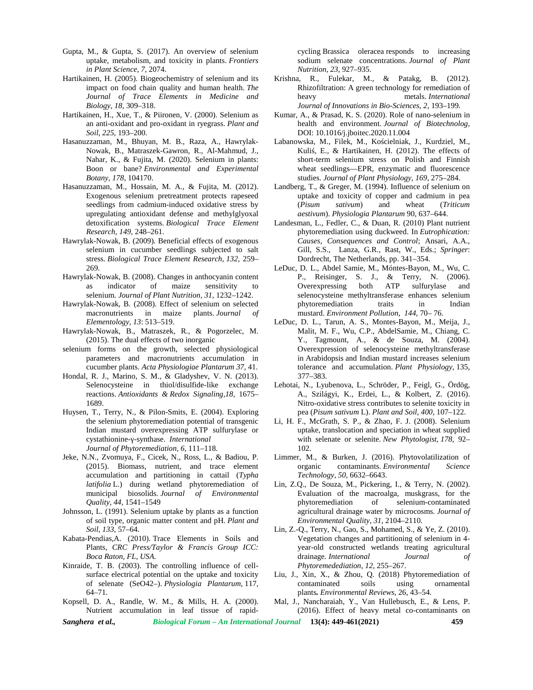- Gupta, M., & Gupta, S. (2017). An overview of selenium uptake, metabolism, and toxicity in plants. *Frontiers in Plant Science*, *7*, 2074.
- Hartikainen, H. (2005). Biogeochemistry of selenium and its impact on food chain quality and human health. *The Journal of Trace Elements in Medicine and Biology*, *18*, 309–318.
- Hartikainen, H., Xue, T., & Piironen, V. (2000). Selenium as an anti-oxidant and pro-oxidant in ryegrass. *Plant and Soil*, *225,* 193–200.
- Hasanuzzaman, M., Bhuyan, M. B., Raza, A., Hawrylak- Nowak, B., Matraszek-Gawron, R., Al-Mahmud, J., Nahar, K., & Fujita, M. (2020). Selenium in plants: Boon or bane? *Environmental and Experimental Botany*, *178*, 104170.
- Hasanuzzaman, M., Hossain, M. A., & Fujita, M. (2012). Exogenous selenium pretreatment protects rapeseed seedlings from cadmium-induced oxidative stress by upregulating antioxidant defense and methylglyoxal detoxification systems. *Biological Trace Element Research*, *149,* 248–261.
- Hawrylak-Nowak, B. (2009). Beneficial effects of exogenous selenium in cucumber seedlings subjected to salt stress. *Biological Trace Element Research*, *132,* 259– 269.
- Hawrylak-Nowak, B. (2008). Changes in anthocyanin content as indicator of maize sensitivity to selenium. *Journal of Plant Nutrition, 31,* 1232–1242.
- Hawrylak-Nowak, B. (2008). Effect of selenium on selected macronutrients in maize plants. *Journal of Elementology, 13*: 513–519.
- Hawrylak-Nowak, B., Matraszek, R., & Pogorzelec, M. (2015). The dual effects of two inorganic
- selenium forms on the growth, selected physiological parameters and macronutrients accumulation in cucumber plants. *Acta Physiologiae Plantarum 37*, 41.
- Hondal, R. J., Marino, S. M., & Gladyshev, V. N. (2013). Selenocysteine in thiol/disulfide-like exchange reactions. *Antioxidants & Redox Signaling,18,* 1675– 1689.
- Huysen, T., Terry, N., & Pilon-Smits, E. (2004). Exploring the selenium phytoremediation potential of transgenic Indian mustard overexpressing ATP sulfurylase or cystathionine- -synthase. *International Journal of Phytoremediation, 6*, 111–118.
- Jeke, N.N., Zvomuya, F., Cicek, N., Ross, L., & Badiou, P. (2015). Biomass, nutrient, and trace element accumulation and partitioning in cattail (*Typha latifolia* L.) during wetland phytoremediation of municipal biosolids. *Journal of Environmental Quality*, *44,* 1541–1549
- Johnsson, L. (1991). Selenium uptake by plants as a function of soil type, organic matter content and pH. *Plant and Soil*, *133*, 57–64.
- Kabata-Pendias,A. (2010). Trace Elements in Soils and Plants, *CRC Press/Taylor & Francis Group ICC: Boca Raton, FL, USA.*
- Kinraide, T. B. (2003). The controlling influence of cell surface electrical potential on the uptake and toxicity of selenate (SeO42–). *Physiologia Plantarum*, 117, 64–71.
- Kopsell, D. A., Randle, W. M., & Mills, H. A. (2000). Nutrient accumulation in leaf tissue of rapid-

cycling Brassica oleracea responds to increasing sodium selenate concentrations. *Journal of Plant Nutrition, 23*, 927–935.

- Krishna, R., Fulekar, M., & Patakg, B. (2012). Rhizofiltration: A green technology for remediation of heavy metals. *International Journal of Innovations in Bio-Sciences*, *2*, 193–199.
- Kumar, A., & Prasad, K. S. (2020). Role of nano-selenium in health and environment. *Journal of Biotechnolog*, DOI: 10.1016/j.jboitec.2020.11.004
- Labanowska, M., Filek, M., Ko cielniak, J., Kurdziel, M., Kuli, E., & Hartikainen, H. (2012). The effects of short-term selenium stress on Polish and Finnish wheat seedlings—EPR, enzymatic and fluorescence studies. *Journal of Plant Physiology*, *169*, 275–284.
- Landberg, T., & Greger, M. (1994). Influence of selenium on uptake and toxicity of copper and cadmium in pea (*Pisum sativum*) and wheat (*Triticum aestivum*). *Physiologia Plantarum* 90, 637–644.
- Landesman, L., Fedler, C., & Duan, R. (2010) Plant nutrient phytoremediation using duckweed. In *Eutrophication: Causes, Consequences and Control*; Ansari, A.A., Gill, S.S., Lanza, G.R., Rast, W., Eds.; *Springer*: Dordrecht, The Netherlands, pp. 341–354.
- LeDuc, D. L., Abdel Samie, M., Móntes-Bayon, M., Wu, C. P., Reisinger, S. J., & Terry, N. (2006). Overexpressing both ATP sulfurylase and selenocysteine methyltransferase enhances selenium phytoremediation traits in Indian mustard. *Environment Pollution*, *144*, 70– 76.
- LeDuc, D. L., Tarun, A. S., Montes-Bayon, M., Meija, J., Malit, M. F., Wu, C.P., AbdelSamie, M., Chiang, C. Y., Tagmount, A., & de Souza, M. (2004). Overexpression of selenocysteine methyltransferase in Arabidopsis and Indian mustard increases selenium tolerance and accumulation. *Plant Physiology*, 135, 377–383.
- Lehotai, N., Lyubenova, L., Schröder, P., Feigl, G., Ördög, A., Szilágyi, K., Erdei, L., & Kolbert, Z. (2016). Nitro-oxidative stress contributes to selenite toxicity in pea (*Pisum sativum* L). *Plant and Soil*, *400,* 107–122.
- Li, H. F., McGrath, S. P., & Zhao, F. J. (2008). Selenium uptake, translocation and speciation in wheat supplied with selenate or selenite. *New Phytologist*, *178,* 92– 102.
- Limmer, M., & Burken, J. (2016). Phytovolatilization of organic contaminants. *Environmental Science Technology, 50*, 6632–6643.
- Lin, Z.Q., De Souza, M., Pickering, I., & Terry, N. (2002). Evaluation of the macroalga, muskgrass, for the phytoremediation of selenium-contaminated agricultural drainage water by microcosms. *Journal of Environmental Quality*, *31*, 2104–2110.
- Lin, Z.-Q., Terry, N., Gao, S., Mohamed, S., & Ye, Z. (2010). Vegetation changes and partitioning of selenium in 4 year-old constructed wetlands treating agricultural drainage*. International Journal of Phytoremedediation, 12*, 255–267.
- Liu, J., Xin, X., & Zhou, Q. (2018) Phytoremediation of contaminated soils using ornamental plants*. Environmental Reviews*, 26, 43–54.
- Mal, J., Nancharaiah, Y., Van Hullebusch, E., & Lens, P. (2016). Effect of heavy metal co-contaminants on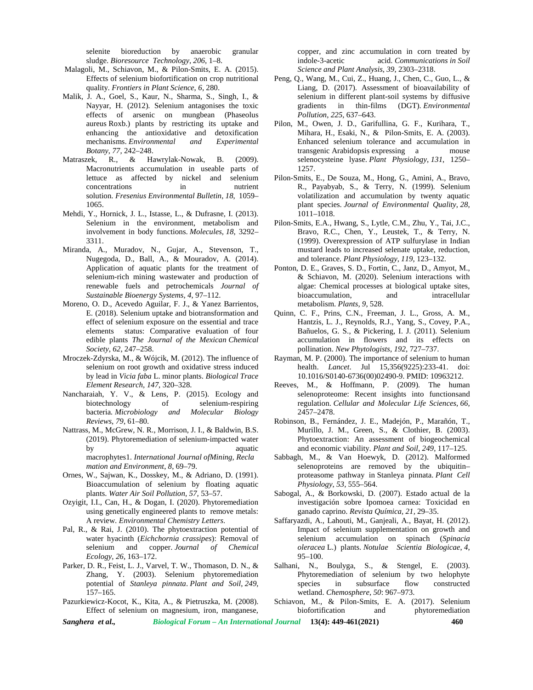selenite bioreduction by anaerobic granular sludge. *Bioresource Technology*, *206*, 1–8.

- Malagoli, M., Schiavon, M., & Pilon-Smits, E. A. (2015). Effects of selenium biofortification on crop nutritional quality. *Frontiers in Plant Science*, *6*, 280.
- Malik, J. A., Goel, S., Kaur, N., Sharma, S., Singh, I., & Nayyar, H. (2012). Selenium antagonises the toxic effects of arsenic on mungbean (Phaseolus aureus Roxb.) plants by restricting its uptake and enhancing the antioxidative and detoxification mechanisms. *Environmental and Experimental Botany*, *77,* 242–248.
- Matraszek, R., & Hawrylak-Nowak, B. (2009). Macronutrients accumulation in useable parts of lettuce as affected by nickel and selenium concentrations in nutrient solution. *Fresenius Environmental Bulletin*, *18*, 1059– 1065.
- Mehdi, Y., Hornick, J. L., Istasse, L., & Dufrasne, I. (2013). Selenium in the environment, metabolism and involvement in body functions. *Molecules, 18*, 3292– 3311.
- Miranda, A., Muradov, N., Gujar, A., Stevenson, T., Nugegoda, D., Ball, A., & Mouradov, A. (2014). Application of aquatic plants for the treatment of selenium-rich mining wastewater and production of renewable fuels and petrochemicals *Journal of Sustainable Bioenergy Systems, 4*, 97–112.
- Moreno, O. D., Acevedo Aguilar, F. J., & Yanez Barrientos, E. (2018). Selenium uptake and biotransformation and effect of selenium exposure on the essential and trace elements status: Comparative evaluation of four edible plants *The Journal of the Mexican Chemical Society*, *62*, 247–258.
- Mroczek-Zdyrska, M., & Wójcik, M. (2012). The influence of selenium on root growth and oxidative stress induced by lead in *Vicia faba* L. minor plants. *Biological Trace Element Research, 147*, 320–328.
- Nancharaiah, Y. V., & Lens, P. (2015). Ecology and biotechnology of selenium-respiring bacteria*. Microbiology and Molecular Biology Reviews*, *79*, 61–80.
- Nattrass, M., McGrew, N. R., Morrison, J. I., & Baldwin, B.S. (2019). Phytoremediation of selenium-impacted water by a aquatic and  $\alpha$  aquatic macrophytes1. *International Journal ofMining, Recla mation and Environment*, *8*, 69–79.
- Ornes, W., Sajwan, K., Dosskey, M., & Adriano, D. (1991). Bioaccumulation of selenium by floating aquatic plants. *Water Air Soil Pollution, 57,* 53–57.
- Ozyigit, I.I., Can, H., & Dogan, I. (2020). Phytoremediation using genetically engineered plants to remove metals: A review. *Environmental Chemistry Letters*.
- Pal, R., & Rai, J. (2010). The phytoextraction potential of water hyacinth (*Eichchornia crassipes*): Removal of selenium and copper. *Journal of Chemical Ecology*, *26*, 163–172.
- Parker, D. R., Feist, L. J., Varvel, T. W., Thomason, D. N., & Zhang, Y. (2003). Selenium phytoremediation potential of *Stanleya pinnata*. *Plant and Soil*, *249*, 157–165.
- Pazurkiewicz-Kocot, K., Kita, A., & Pietruszka, M. (2008). Effect of selenium on magnesium, iron, manganese,

copper, and zinc accumulation in corn treated by indole-3-acetic acid. *Communications in Soil Science and Plant Analysis*, *39*, 2303–2318.

- Peng, Q., Wang, M., Cui, Z., Huang, J., Chen, C., Guo, L., & Liang, D. (2017). Assessment of bioavailability of selenium in different plant-soil systems by diffusive gradients in thin-films (DGT). *Environmental Pollution*, *225*, 637–643.
- Pilon, M., Owen, J. D., Garifullina, G. F., Kurihara, T., Mihara, H., Esaki, N., & Pilon-Smits, E. A. (2003). Enhanced selenium tolerance and accumulation in transgenic Arabidopsis expressing a mouse selenocysteine lyase. *Plant Physiology*, *131*, 1250– 1257.
- Pilon-Smits, E., De Souza, M., Hong, G., Amini, A., Bravo, R., Payabyab, S., & Terry, N. (1999). Selenium volatilization and accumulation by twenty aquatic plant species. *Journal of Environmental Quality*, *28*, 1011–1018.
- Pilon-Smits, E.A., Hwang, S., Lytle, C.M., Zhu, Y., Tai, J.C., Bravo, R.C., Chen, Y., Leustek, T., & Terry, N. (1999). Overexpression of ATP sulfurylase in Indian mustard leads to increased selenate uptake, reduction, and tolerance. *Plant Physiology*, *119*, 123–132.
- Ponton, D. E., Graves, S. D., Fortin, C., Janz, D., Amyot, M., & Schiavon, M. (2020). Selenium interactions with algae: Chemical processes at biological uptake sites, bioaccumulation, and intracellular metabolism. *Plants, 9*, 528.
- Quinn, C. F., Prins, C.N., Freeman, J. L., Gross, A. M., Hantzis, L. J., Reynolds, R.J., Yang, S., Covey, P.A., Bañuelos, G. S., & Pickering, I. J. (2011). Selenium accumulation in flowers and its effects on pollination. *New Phytologists*, *192*, 727–737.
- Rayman, M. P. (2000). The importance of selenium to human health. *Lancet*. Jul 15,356(9225):233-41. doi: 10.1016/S0140-6736(00)02490-9. PMID: 10963212.
- Reeves, M., & Hoffmann, P. (2009). The human selenoproteome: Recent insights into functionsand regulation. *Cellular and Molecular Life Sciences*, *66,* 2457–2478.
- Robinson, B., Fernández, J. E., Madejón, P., Marañón, T., Murillo, J. M., Green, S., & Clothier, B. (2003). Phytoextraction: An assessment of biogeochemical and economic viability. *Plant and Soil*, *249*, 117–125.
- Sabbagh, M., & Van Hoewyk, D. (2012). Malformed selenoproteins are removed by the ubiquitin– proteasome pathway in Stanleya pinnata. *Plant Cell Physiology*, *53,* 555–564.
- Sabogal, A., & Borkowski, D. (2007). Estado actual de la investigación sobre Ipomoea carnea: Toxicidad en ganado caprino. *Revista Química, 21,* 29–35.
- Saffaryazdi, A., Lahouti, M., Ganjeali, A., Bayat, H. (2012). Impact of selenium supplementation on growth and selenium accumulation on spinach (*Spinacia oleracea* L.) plants. *Notulae Scientia Biologicae*, *4*, 95–100.
- Salhani, N., Boulyga, S., & Stengel, E. (2003). Phytoremediation of selenium by two helophyte species in subsurface flow constructed wetland. *Chemosphere*, *50*: 967–973.
- Schiavon, M., & Pilon-Smits, E. A. (2017). Selenium biofortification and phytoremediation